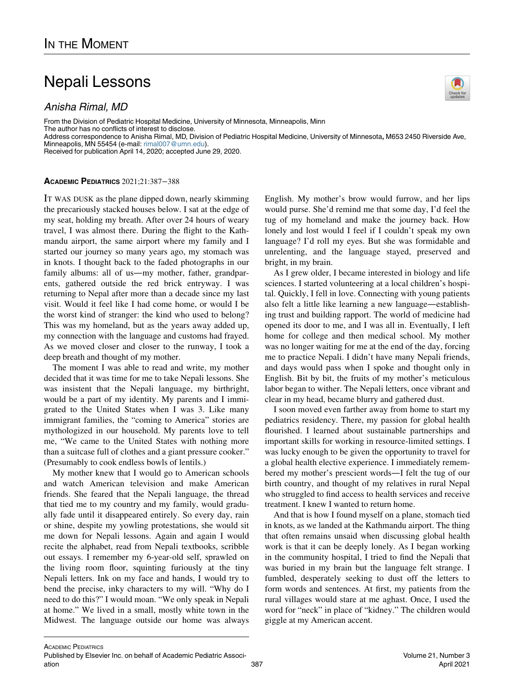## Nepali Lessons

Anisha Rimal, MD

From the Division of Pediatric Hospital Medicine, University of Minnesota, Minneapolis, Minn The author has no conflicts of interest to disclose.

Address correspondence to Anisha Rimal, MD, Division of Pediatric Hospital Medicine, University of Minnesota, M653 2450 Riverside Ave, Minneapolis, MN 55454 (e-mail: [rimal007@umn.edu](mailto:rimal007@umn.edu)).

Received for publication April 14, 2020; accepted June 29, 2020.

## ACADEMIC PEDIATRICS 2021;21:387−388

IT WAS DUSK as the plane dipped down, nearly skimming the precariously stacked houses below. I sat at the edge of my seat, holding my breath. After over 24 hours of weary travel, I was almost there. During the flight to the Kathmandu airport, the same airport where my family and I started our journey so many years ago, my stomach was in knots. I thought back to the faded photographs in our family albums: all of us—my mother, father, grandparents, gathered outside the red brick entryway. I was returning to Nepal after more than a decade since my last visit. Would it feel like I had come home, or would I be the worst kind of stranger: the kind who used to belong? This was my homeland, but as the years away added up, my connection with the language and customs had frayed. As we moved closer and closer to the runway, I took a deep breath and thought of my mother.

The moment I was able to read and write, my mother decided that it was time for me to take Nepali lessons. She was insistent that the Nepali language, my birthright, would be a part of my identity. My parents and I immigrated to the United States when I was 3. Like many immigrant families, the "coming to America" stories are mythologized in our household. My parents love to tell me, "We came to the United States with nothing more than a suitcase full of clothes and a giant pressure cooker." (Presumably to cook endless bowls of lentils.)

My mother knew that I would go to American schools and watch American television and make American friends. She feared that the Nepali language, the thread that tied me to my country and my family, would gradually fade until it disappeared entirely. So every day, rain or shine, despite my yowling protestations, she would sit me down for Nepali lessons. Again and again I would recite the alphabet, read from Nepali textbooks, scribble out essays. I remember my 6-year-old self, sprawled on the living room floor, squinting furiously at the tiny Nepali letters. Ink on my face and hands, I would try to bend the precise, inky characters to my will. "Why do I need to do this?" I would moan. "We only speak in Nepali at home." We lived in a small, mostly white town in the Midwest. The language outside our home was always English. My mother's brow would furrow, and her lips would purse. She'd remind me that some day, I'd feel the tug of my homeland and make the journey back. How lonely and lost would I feel if I couldn't speak my own language? I'd roll my eyes. But she was formidable and unrelenting, and the language stayed, preserved and bright, in my brain.

As I grew older, I became interested in biology and life sciences. I started volunteering at a local children's hospital. Quickly, I fell in love. Connecting with young patients also felt a little like learning a new language—establishing trust and building rapport. The world of medicine had opened its door to me, and I was all in. Eventually, I left home for college and then medical school. My mother was no longer waiting for me at the end of the day, forcing me to practice Nepali. I didn't have many Nepali friends, and days would pass when I spoke and thought only in English. Bit by bit, the fruits of my mother's meticulous labor began to wither. The Nepali letters, once vibrant and clear in my head, became blurry and gathered dust.

I soon moved even farther away from home to start my pediatrics residency. There, my passion for global health flourished. I learned about sustainable partnerships and important skills for working in resource-limited settings. I was lucky enough to be given the opportunity to travel for a global health elective experience. I immediately remembered my mother's prescient words—I felt the tug of our birth country, and thought of my relatives in rural Nepal who struggled to find access to health services and receive treatment. I knew I wanted to return home.

And that is how I found myself on a plane, stomach tied in knots, as we landed at the Kathmandu airport. The thing that often remains unsaid when discussing global health work is that it can be deeply lonely. As I began working in the community hospital, I tried to find the Nepali that was buried in my brain but the language felt strange. I fumbled, desperately seeking to dust off the letters to form words and sentences. At first, my patients from the rural villages would stare at me aghast. Once, I used the word for "neck" in place of "kidney." The children would giggle at my American accent.